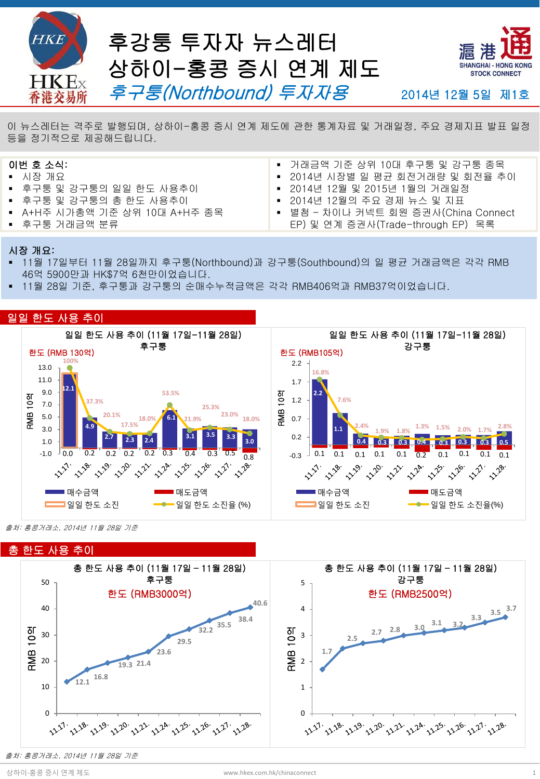

**Hot Topics** <sup>이</sup> 뉴스레터는 격주로 발행되며, 상하이-홍콩 증시 연계 제도에 관한 통계자료 <sup>및</sup> 거래일정, 주요 경제지표 발표 일정 등을 정기적으로 제공해드립니다.

# 이번 호 소식:

- 시장 개요
- 후구퉁 및 강구퉁의 일일 한도 사용추이
- 후구퉁 및 강구퉁의 총 한도 사용추이
- A+H주 시가총액 기준 상위 10대 A+H주 종목
- 후구퉁 거래금액 분류
- 거래금액 기준 상위 10대 후구퉁 및 강구퉁 종목
- 2014년 시장별 일 평균 회전거래량 및 회전율 추이
- 2014년 12월 및 2015년 1월의 거래일정
- 2014년 12월의 주요 경제 뉴스 및 지표
- 별첨 차이나 커넥트 회원 증권사(China Connect EP) 및 연계 증권사(Trade-through EP) 목록

#### 시장 개요:

- 11월 17일부터 11월 28일까지 후구퉁(Northbound)과 강구퉁(Southbound)의 일 평균 거래금액은 각각 RMB 46억 5900만과 HK\$7억 6천만이었습니다.
- 11월 28일 기준, 후구퉁과 강구퉁의 순매수누적금액은 각각 RMB406억과 RMB37억이었습니다.



출처: 홍콩거래소, 2014년 11월 28일 기준



출처: 홍콩거래소, 2014년 11월 28일 기준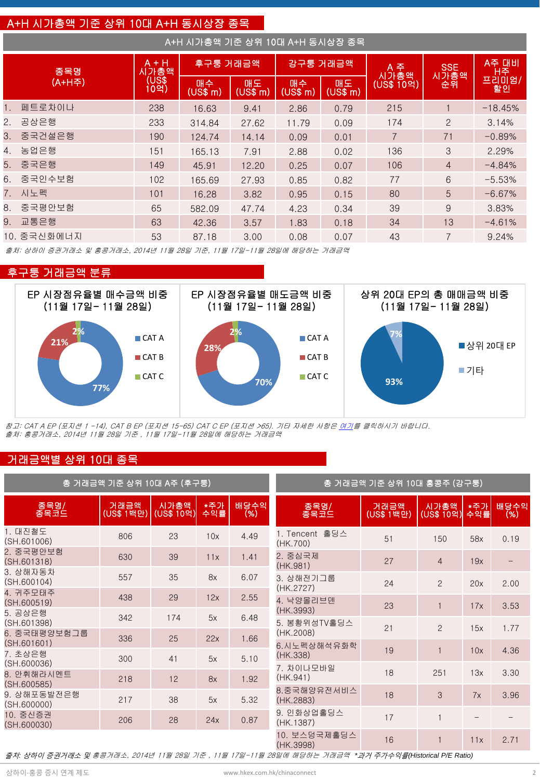# A+H 시가총액 기준 상위 10대 A+H 동시상장 종목

| A+H 시가총액 기준 상위 10대 A+H 동시상장 종목 |             |                 |                |                |                |                |                |                    |           |  |
|--------------------------------|-------------|-----------------|----------------|----------------|----------------|----------------|----------------|--------------------|-----------|--|
| 종목명                            |             | $A + H$<br>시가총액 | 후구퉁 거래금액       |                | 강구퉁 거래금액       |                | A 주<br>시가총액    | <b>SSE</b><br>시가총액 | A주 대비     |  |
|                                | (A+H주)      | (US\$<br>10억)   | 매수<br>(US\$~m) | 매도<br>(US\$ m) | 매수<br>(US\$ m) | 매도<br>(US\$ m) | (US\$ 10억)     | 순휘                 | 할인        |  |
|                                | 페트로차이나      | 238             | 16.63          | 9.41           | 2.86           | 0.79           | 215            |                    | $-18.45%$ |  |
|                                | 2. 공상은행     | 233             | 314.84         | 27.62          | 11.79          | 0.09           | 174            | 2                  | 3.14%     |  |
|                                | 3. 중국건설은행   | 190             | 124.74         | 14.14          | 0.09           | 0.01           | $\overline{7}$ | 71                 | $-0.89%$  |  |
| 4.                             | 농업은행        | 151             | 165.13         | 7.91           | 2.88           | 0.02           | 136            | 3                  | 2.29%     |  |
|                                | 5. 중국은행     | 149             | 45.91          | 12.20          | 0.25           | 0.07           | 106            | $\overline{4}$     | $-4.84%$  |  |
|                                | 6. 중국인수보험   | 102             | 165.69         | 27.93          | 0.85           | 0.82           | 77             | 6                  | $-5.53%$  |  |
|                                | 7. 시노펙      | 101             | 16.28          | 3.82           | 0.95           | 0.15           | 80             | 5                  | $-6.67%$  |  |
|                                | 8. 중국평안보험   | 65              | 582.09         | 47.74          | 4.23           | 0.34           | 39             | 9                  | 3.83%     |  |
|                                | 9. 교통은행     | 63              | 42.36          | 3.57           | 1.83           | 0.18           | 34             | 13                 | $-4.61%$  |  |
|                                | 10. 중국신화에너지 | 53              | 87.18          | 3.00           | 0.08           | 0.07           | 43             | 7                  | 9.24%     |  |

출처: 상하이 증권거래소 및 홍콩거래소, 2014년 11월 28일 기준, 11월 17일-11월 28일에 해당하는 거래금액

### 후구퉁 거래금액 분류



참고: CAT A EP (포지션 1 -14), CAT B EP (포지션 15-65) CAT C EP (포지션 >65). 기타 자세한 사항은 [여기](http://www.hkex.com.hk/eng/stat/epstat/exreport.htm)를 클릭하시기 바랍니다. 출처: 홍콩거래소, 2014년 11월 28일 기준 , 11월 17일-11월 28일에 해당하는 거래금액

## 거래금액별 상위 10대 종목

| 총 거래금액 기준 상위 10대 A주 (후구퉁)   | 총 거래금액 기준 상위 10대 홍콩주 (강구퉁) |                    |            |             |                            |                            |                    |            |              |
|-----------------------------|----------------------------|--------------------|------------|-------------|----------------------------|----------------------------|--------------------|------------|--------------|
| 종목명/<br>종목코드                | 거래금액<br>(US\$ 1백만)         | 시가총액<br>(US\$ 10억) | *주가<br>수익률 | 배당수익<br>(%) | 종목명/<br>종목코드               | 거래금액<br>(US\$ 1백 <u>만)</u> | 시가총액<br>(US\$ 10억) | *주가<br>수익률 | 배당수익<br>(% ) |
| 1. 대진철도<br>(SH.601006)      | 806                        | 23                 | 10x        | 4.49        | 1. Tencent 홀딩스<br>(HK.700) | 51                         | 150                | 58x        | 0.19         |
| 2. 중국평안보험<br>(SH.601318)    | 630                        | 39                 | 11x        | 1.41        | 2. 중심국제<br>(HK.981)        | 27                         | $\overline{4}$     | 19x        |              |
| 3. 상해자동차<br>(SH.600104)     | 557                        | 35                 | 8x         | 6.07        | 3. 상해전기그룹<br>(HK.2727)     | 24                         | $\overline{2}$     | 20x        | 2.00         |
| 4. 귀주모태주<br>(SH.600519)     | 438                        | 29                 | 12x        | 2.55        | 4. 낙양몰리브덴                  | 23                         |                    | 17x        | 3.53         |
| 5. 공상은행<br>(SH.601398)      | 342                        | 174                | 5x         | 6.48        | (HK.3993)<br>5. 봉황위성TV홀딩스  | 21                         | $\overline{2}$     | 15x        | 1.77         |
| 6. 중국태평양보험그룹<br>(SH.601601) | 336                        | 25                 | 22x        | 1.66        | (HK.2008)<br>6. 시노펙상해석유화학  |                            |                    |            |              |
| 7. 초상은행<br>(SH.600036)      | 300                        | 41                 | 5x         | 5.10        | (HK.338)                   | 19                         |                    | 10x        | 4.36         |
| 8. 안휘해라시멘트<br>(SH.600585)   | 218                        | 12                 | 8x         | 1.92        | 7. 차이나모바일<br>(HK.941)      | 18                         | 251                | 13x        | 3.30         |
| 9. 상해포동발전은행<br>(SH.600000)  | 217                        | 38                 | 5x         | 5.32        | 8.중국해양유전서비스<br>(HK.2883)   | 18                         | 3                  | 7x         | 3.96         |
| 10. 중신증권<br>(SH.600030)     | 206                        | 28                 | 24x        | 0.87        | 9. 인화상업홀딩스<br>(HK.1387)    | 17                         |                    |            |              |
|                             |                            |                    |            |             | 10. 보스덩국제홀딩스<br>(HK.3998)  | 16                         |                    | 11x        | 2.71         |

출처*:* 상하이 증권거래소 및 홍콩거래소, 2014년 11월 28일 기준 , 11월 17일-11월 28일에 해당하는 거래금액 *\**과거 주가수익률*(Historical P/E Ratio)*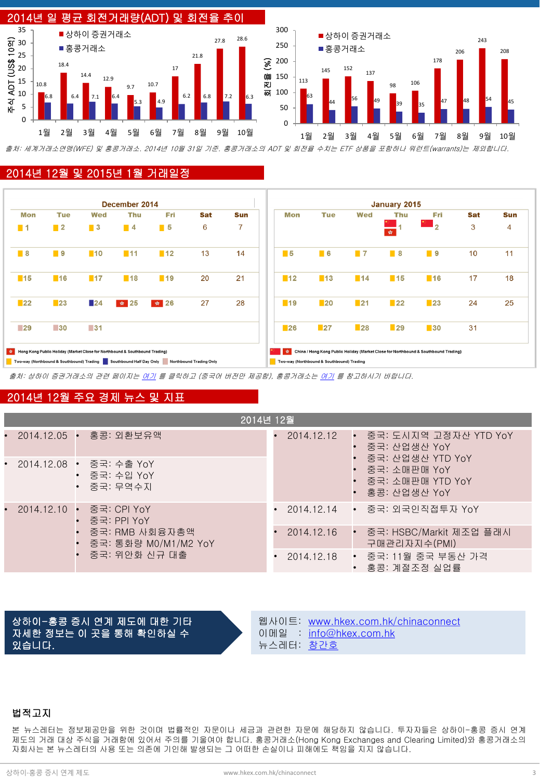

출처: 세계거래소연맹(WFE) 및 홍콩거래소. 2014년 10월 31일 기준. 홍콩거래소의 ADT 및 회전율 수치는 ETF 상품을 포함하나 워런트(warrants)는 제외합니다.

#### 2014년 12월 및 2015년 1월 거래일정



출처: 상하이 증권거래소의 관련 페이지는 [여기](http://www.sse.com.cn/marketservices/hkexsc/home/holiday/) 를 클릭하고 (중국어 버전만 제공함), 홍콩거래소는 [여기](http://www.hkex.com.hk/eng/market/sec_tradinfra/chinaconnect/Calendar.htm) 를 참고하시기 바랍니다.

### 2014년 12월 주요 경제 뉴스 및 지표

| 2014년 12월 |  |                                                                                                    |                                                         |            |  |                                           |                                                                          |  |
|-----------|--|----------------------------------------------------------------------------------------------------|---------------------------------------------------------|------------|--|-------------------------------------------|--------------------------------------------------------------------------|--|
|           |  |                                                                                                    | 2014.12.05 • 홍콩: 외환보유액                                  | 2014.12.12 |  | - 중국: 도시지역 고정자산 YTD YoY<br>- 중국: 산업생산 YoY |                                                                          |  |
| $\bullet$ |  |                                                                                                    | - 2014.12.08 ▪ 중국: 수출 YoY<br>• 중국: 수입 YoY<br>• 중국: 무역수지 |            |  |                                           | 중국: 산업생산 YTD YoY<br>중국: 소매판매 YoY<br>• 중국: 소매판매 YTD YoY<br>• 홍콩: 산업생산 YoY |  |
| $\bullet$ |  | 2014.12.10 • 중국: CPI YoY<br>중국: PPI YoY<br>중국: RMB 사회융자총액<br>중국: 통화량 M0/M1/M2 YoY<br>중국: 위안화 신규 대출 |                                                         |            |  |                                           | 2014.12.14 • 중국: 외국인직접투자 YoY                                             |  |
|           |  |                                                                                                    |                                                         | 2014.12.16 |  |                                           | 중국: HSBC/Markit 제조업 플래시<br>구매관리자지수(PMI)                                  |  |
|           |  |                                                                                                    |                                                         | 2014.12.18 |  | • 중국: 11월 중국 부동산 가격<br>• 홍콩: 계절조정 실업률     |                                                                          |  |

상하이-홍콩 증시 연계 제도에 대한 기타 자세한 정보는 이 곳을 통해 확인하실 수 있습니다.

웹사이트: [www.hkex.com.hk/chinaconnect](http://www.hkex.com.hk/chinaconnect) 이메일 : [info@hkex.com.hk](mailto:info@hkex.com.hk) 뉴스레터: [창간호](http://www.hkex.com.hk/eng/market/sec_tradinfra/chinaconnect/Documents/Shanghai-Hong Kong Stock Connect Newsletter - Launch Issue_En.pdf)

#### 법적고지

본 뉴스레터는 정보제공만을 위한 것이며 법률적인 자문이나 세금과 관련한 자문에 해당하지 않습니다. 투자자들은 상하이-홍콩 증시 연계 제도의 거래 대상 주식을 거래함에 있어서 주의를 기울여야 합니다. 홍콩거래소(Hong Kong Exchanges and Clearing Limited)와 홍콩거래소의 자회사는 본 뉴스레터의 사용 또는 의존에 기인해 발생되는 그 어떠한 손실이나 피해에도 책임을 지지 않습니다.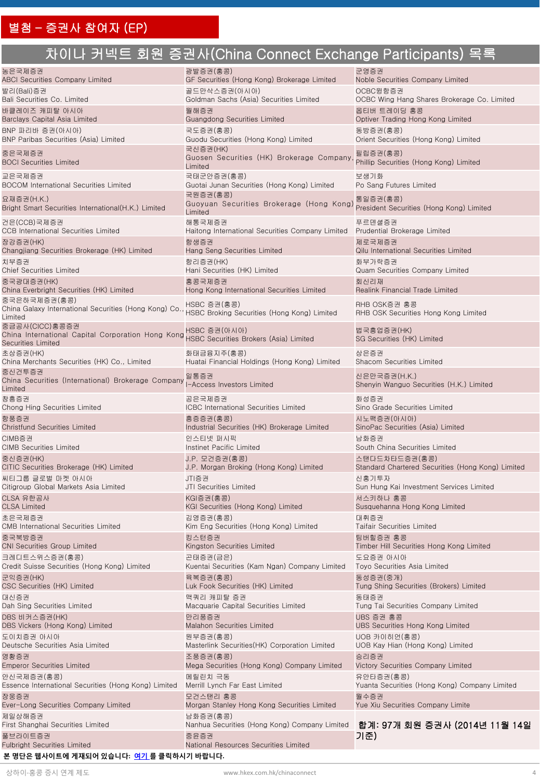# 차이나 커넥트 회원 증권사(China Connect Exchange Participants) 목록

| 농은국제증권                                                                                                                                  | 광발증권(홍콩)                                                        | 군영증권                                                     |
|-----------------------------------------------------------------------------------------------------------------------------------------|-----------------------------------------------------------------|----------------------------------------------------------|
| <b>ABCI Securities Company Limited</b>                                                                                                  | GF Securities (Hong Kong) Brokerage Limited                     | Noble Securities Company Limited                         |
| 발리(Bali)증권                                                                                                                              | 골드만삭스증권(아시아)                                                    | OCBC윙항증권                                                 |
| Bali Securities Co. Limited                                                                                                             | Goldman Sachs (Asia) Securities Limited                         | OCBC Wing Hang Shares Brokerage Co. Limited              |
| 바클레이즈 캐피탈 아시아                                                                                                                           | 월해증권                                                            | 옵티버 트레이딩 홍콩                                              |
| Barclays Capital Asia Limited                                                                                                           | Guangdong Securities Limited                                    | Optiver Trading Hong Kong Limited                        |
| BNP 파리바 증권(아시아)                                                                                                                         | 국도증권(홍콩)                                                        | 동방증권(홍콩)                                                 |
| BNP Paribas Securities (Asia) Limited                                                                                                   | Guodu Securities (Hong Kong) Limited                            | Orient Securities (Hong Kong) Limited                    |
| 중은국제증권<br><b>BOCI Securities Limited</b>                                                                                                | 국신증권(HK)<br>Guosen Securities (HK) Brokerage Company<br>Limited | 필립증권(홍콩)<br>Phillip Securities (Hong Kong) Limited       |
| 교은국제증권                                                                                                                                  | 국태군안증권(홍콩)                                                      | 보생기화                                                     |
| <b>BOCOM International Securities Limited</b>                                                                                           | Guotai Junan Securities (Hong Kong) Limited                     | Po Sang Futures Limited                                  |
| 요재증권(H.K.)<br>Bright Smart Securities International(H.K.) Limited                                                                       | 국원증권(홍콩)<br>Guoyuan Securities Brokerage (Hong Kong)<br>Limited | 통일증권(홍콩)<br>President Securities (Hong Kong) Limited     |
| 건은(CCB)국제증권                                                                                                                             | 해통국제증권                                                          | 푸르덴셜증권                                                   |
| <b>CCB</b> International Securities Limited                                                                                             | Haitong International Securities Company Limited                | Prudential Brokerage Limited                             |
| 장강증권(HK)                                                                                                                                | 항생증권                                                            | 제로국제증권                                                   |
| Changjiang Securities Brokerage (HK) Limited                                                                                            | Hang Seng Securities Limited                                    | Qilu International Securities Limited                    |
| 치부증권                                                                                                                                    | 항리증권(HK)                                                        | 화부가락증권                                                   |
| <b>Chief Securities Limited</b>                                                                                                         | Hani Securities (HK) Limited                                    | Quam Securities Company Limited                          |
| 중국광대증권(HK)                                                                                                                              | 홍콩국제증권                                                          | 회신리재                                                     |
| China Everbright Securities (HK) Limited                                                                                                | Hong Kong International Securities Limited                      | Realink Financial Trade Limited                          |
| 중국은하국제증권(홍콩)<br>China Galaxy International Securities (Hong Kong) Co.<br>Limited                                                        | HSBC 증권(홍콩)<br>HSBC Broking Securities (Hong Kong) Limited      | RHB OSK증권 홍콩<br>RHB OSK Securities Hong Kong Limited     |
| 중금공사(CICC)홍콩증권<br>China International Capital Corporation Hong Kong HSBC Securities Brokers (Asia) Limited<br><b>Securities Limited</b> | HSBC 증권(아시아)                                                    | 법국흥업증권(HK)<br>SG Securities (HK) Limited                 |
| 초상증권(HK)                                                                                                                                | 화태금융지주(홍콩)                                                      | 상은증권                                                     |
| China Merchants Securities (HK) Co., Limited                                                                                            | Huatai Financial Holdings (Hong Kong) Limited                   | Shacom Securities Limited                                |
| 중신건투증권<br>China Securities (International) Brokerage Company<br>Limited                                                                 | 일통증권<br>I-Access Investors Limited                              | 신은만국증권(H.K.)<br>Shenyin Wanguo Securities (H.K.) Limited |
| 창흥증권                                                                                                                                    | 공은국제증권                                                          | 화성증권                                                     |
| Chong Hing Securities Limited                                                                                                           | <b>ICBC</b> International Securities Limited                    | Sino Grade Securities Limited                            |
| 항풍증권                                                                                                                                    | 흥증증권(홍콩)                                                        | 시노팩증권(아시아)                                               |
| <b>Christfund Securities Limited</b>                                                                                                    | Industrial Securities (HK) Brokerage Limited                    | SinoPac Securities (Asia) Limited                        |
| CIMB증권                                                                                                                                  | 인스티넷 퍼시픽                                                        | 남화증권                                                     |
| <b>CIMB Securities Limited</b>                                                                                                          | Instinet Pacific Limited                                        | South China Securities Limited                           |
| 중신증권(HK)                                                                                                                                | J.P. 모건증권(홍콩)                                                   | 스탠다드차타드증권(홍콩)                                            |
| CITIC Securities Brokerage (HK) Limited                                                                                                 | J.P. Morgan Broking (Hong Kong) Limited                         | Standard Chartered Securities (Hong Kong) Limited        |
| 씨티그룹 글로벌 마켓 아시아                                                                                                                         | JTI증권                                                           | 신홍기투자                                                    |
| Citigroup Global Markets Asia Limited                                                                                                   | JTI Securities Limited                                          | Sun Hung Kai Investment Services Limited                 |
| CLSA 유한공사                                                                                                                               | KGI증권(홍콩)                                                       | 서스키하나 홍콩                                                 |
| <b>CLSA Limited</b>                                                                                                                     | KGI Securities (Hong Kong) Limited                              | Susquehanna Hong Kong Limited                            |
| 초은국제증권                                                                                                                                  | 김영증권(홍콩)                                                        | 대휘증권                                                     |
| CMB International Securities Limited                                                                                                    | Kim Eng Securities (Hong Kong) Limited                          | <b>Taifair Securities Limited</b>                        |
| 중국북방증권                                                                                                                                  | 킹스턴증권                                                           | 팀버힐증권 홍콩                                                 |
| <b>CNI Securities Group Limited</b>                                                                                                     | Kingston Securities Limited                                     | Timber Hill Securities Hong Kong Limited                 |
| 크레디트스위스증권(홍콩)                                                                                                                           | 곤태증권(금은)                                                        | 도요증권 아시아                                                 |
| Credit Suisse Securities (Hong Kong) Limited                                                                                            | Kuentai Securities (Kam Ngan) Company Limited                   | Toyo Securities Asia Limited                             |
| 군익증권(HK)                                                                                                                                | 육복증권(홍콩)                                                        | 동성증권(중개)                                                 |
| CSC Securities (HK) Limited                                                                                                             | Luk Fook Securities (HK) Limited                                | Tung Shing Securities (Brokers) Limited                  |
| 대신증권                                                                                                                                    | 맥쿼리 캐피탈 증권                                                      | 동태증권                                                     |
| Dah Sing Securities Limited                                                                                                             | Macquarie Capital Securities Limited                            | Tung Tai Securities Company Limited                      |
| DBS 비커스증권(HK)                                                                                                                           | 만리풍증권                                                           | UBS 증권 홍콩                                                |
| DBS Vickers (Hong Kong) Limited                                                                                                         | <b>Malahon Securities Limited</b>                               | UBS Securities Hong Kong Limited                         |
| 도이치증권 아시아                                                                                                                               | 원부증권(홍콩)                                                        | UOB 카이히언(홍콩)                                             |
| Deutsche Securities Asia Limited                                                                                                        | Masterlink Securities (HK) Corporation Limited                  | UOB Kay Hian (Hong Kong) Limited                         |
| 영황증권                                                                                                                                    | 조풍증권(홍콩)                                                        | 승리증권                                                     |
| <b>Emperor Securities Limited</b>                                                                                                       | Mega Securities (Hong Kong) Company Limited                     | Victory Securities Company Limited                       |
| 안신국제증권(홍콩)                                                                                                                              | 메릴린치 극동                                                         | 유안타증권(홍콩)                                                |
| Essence International Securities (Hong Kong) Limited                                                                                    | Merrill Lynch Far East Limited                                  | Yuanta Securities (Hong Kong) Company Limited            |
| 장웅증권                                                                                                                                    | 모건스탠리 홍콩                                                        | 월수증권                                                     |
| Ever-Long Securities Company Limited                                                                                                    | Morgan Stanley Hong Kong Securities Limited                     | Yue Xiu Securities Company Limite                        |
| 제일상해증권<br>First Shanghai Securities Limited                                                                                             | 남화증권(홍콩)<br>Nanhua Securities (Hong Kong) Company Limited       | 합계: 97개 회원 증권사 (2014년 11월 14일                            |
| 풀브라이트증권<br><b>Fulbright Securities Limited</b>                                                                                          | 중윤증권<br>National Resources Securities Limited                   | 기준)                                                      |

#### **본 명단은 웹사이트에 게재되어 있습니다: [여기](http://www.hkex.com.hk/eng/market/sec_tradinfra/chinaconnect/Documents/TTEP_List.xlsx) [를](http://www.hkex.com.hk/eng/market/sec_tradinfra/chinaconnect/EligiblePart.htm) 클릭하시기 바랍니다.**